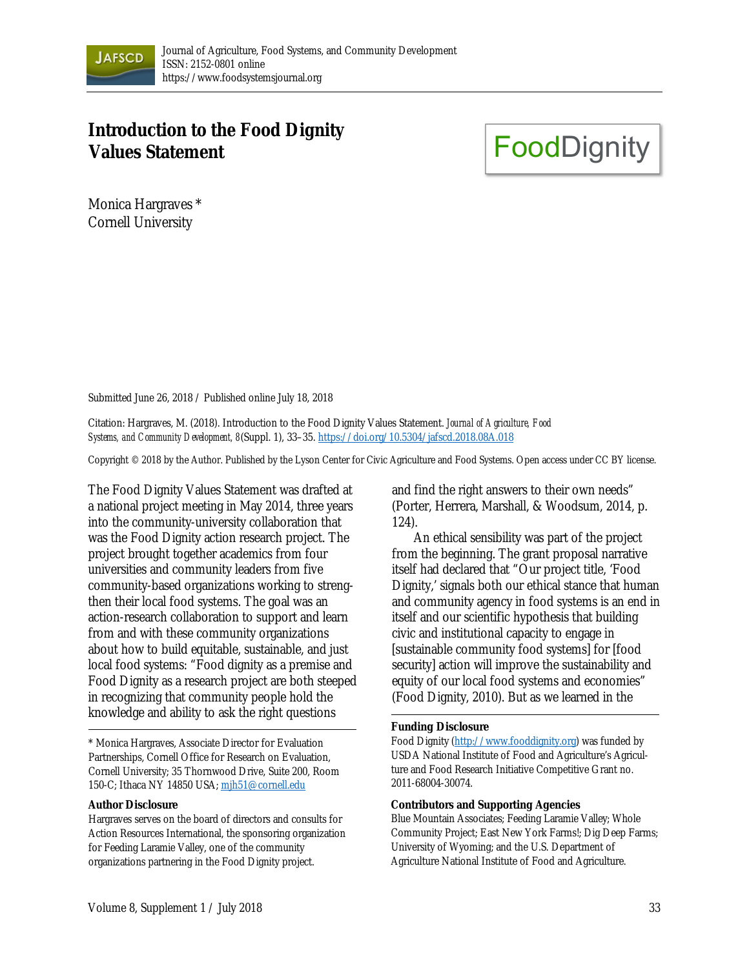

# **Introduction to the Food Dignity Values Statement**

**FoodDignity** 

Monica Hargraves \* Cornell University

Submitted June 26, 2018 / Published online July 18, 2018

Citation: Hargraves, M. (2018). Introduction to the Food Dignity Values Statement. *Journal of Agriculture, Food Systems, and Community Development, 8*(Suppl. 1), 33–35. https://doi.org/10.5304/jafscd.2018.08A.018

Copyright © 2018 by the Author. Published by the Lyson Center for Civic Agriculture and Food Systems. Open access under CC BY license.

The Food Dignity Values Statement was drafted at a national project meeting in May 2014, three years into the community-university collaboration that was the Food Dignity action research project. The project brought together academics from four universities and community leaders from five community-based organizations working to strengthen their local food systems. The goal was an action-research collaboration to support and learn from and with these community organizations about how to build equitable, sustainable, and just local food systems: "Food dignity as a premise and Food Dignity as a research project are both steeped in recognizing that community people hold the knowledge and ability to ask the right questions

\* Monica Hargraves, Associate Director for Evaluation Partnerships, Cornell Office for Research on Evaluation, Cornell University; 35 Thornwood Drive, Suite 200, Room 150-C; Ithaca NY 14850 USA; mjh51@cornell.edu

#### **Author Disclosure**

Hargraves serves on the board of directors and consults for Action Resources International, the sponsoring organization for Feeding Laramie Valley, one of the community organizations partnering in the Food Dignity project.

and find the right answers to their own needs" (Porter, Herrera, Marshall, & Woodsum, 2014, p. 124).

An ethical sensibility was part of the project from the beginning. The grant proposal narrative itself had declared that "Our project title, 'Food Dignity,' signals both our ethical stance that human and community agency in food systems is an end in itself and our scientific hypothesis that building civic and institutional capacity to engage in [sustainable community food systems] for [food security] action will improve the sustainability and equity of our local food systems and economies" (Food Dignity, 2010). But as we learned in the

### **Funding Disclosure**

Food Dignity (http://www.fooddignity.org) was funded by USDA National Institute of Food and Agriculture's Agriculture and Food Research Initiative Competitive Grant no. 2011-68004-30074.

#### **Contributors and Supporting Agencies**

Blue Mountain Associates; Feeding Laramie Valley; Whole Community Project; East New York Farms!; Dig Deep Farms; University of Wyoming; and the U.S. Department of Agriculture National Institute of Food and Agriculture.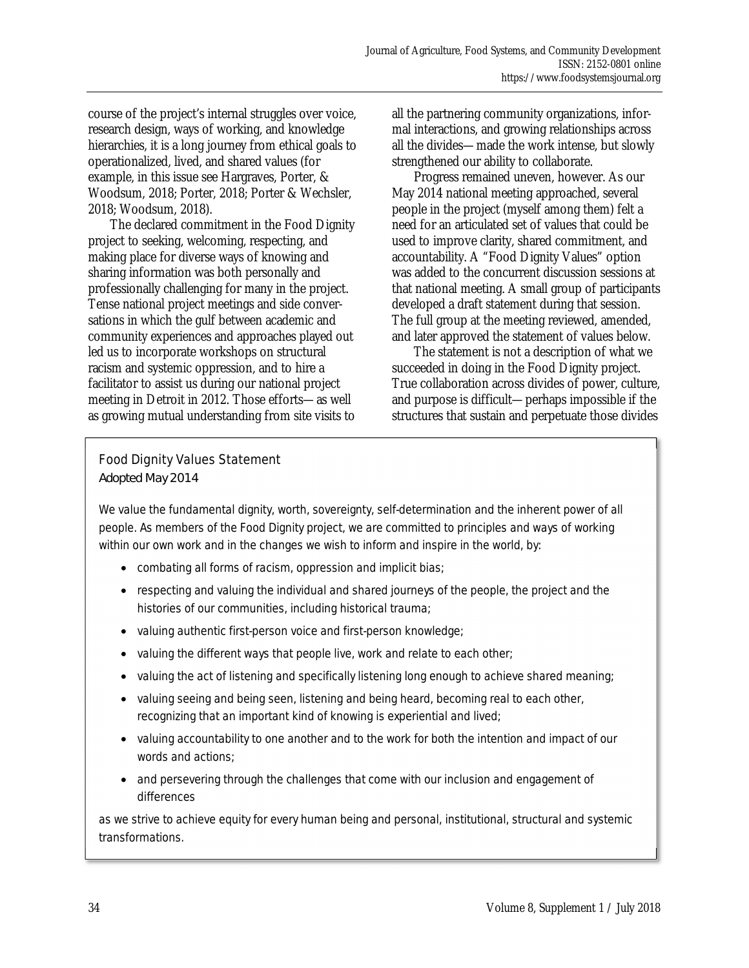course of the project's internal struggles over voice, research design, ways of working, and knowledge hierarchies, it is a long journey from ethical goals to operationalized, lived, and shared values (for example, in this issue see Hargraves, Porter, & Woodsum, 2018; Porter, 2018; Porter & Wechsler, 2018; Woodsum, 2018).

 The declared commitment in the Food Dignity project to seeking, welcoming, respecting, and making place for diverse ways of knowing and sharing information was both personally and professionally challenging for many in the project. Tense national project meetings and side conversations in which the gulf between academic and community experiences and approaches played out led us to incorporate workshops on structural racism and systemic oppression, and to hire a facilitator to assist us during our national project meeting in Detroit in 2012. Those efforts—as well as growing mutual understanding from site visits to all the partnering community organizations, informal interactions, and growing relationships across all the divides—made the work intense, but slowly strengthened our ability to collaborate.

 Progress remained uneven, however. As our May 2014 national meeting approached, several people in the project (myself among them) felt a need for an articulated set of values that could be used to improve clarity, shared commitment, and accountability. A "Food Dignity Values" option was added to the concurrent discussion sessions at that national meeting. A small group of participants developed a draft statement during that session. The full group at the meeting reviewed, amended, and later approved the statement of values below.

The statement is not a description of what we succeeded in doing in the Food Dignity project. True collaboration across divides of power, culture, and purpose is difficult—perhaps impossible if the structures that sustain and perpetuate those divides

## Food Dignity Values Statement

*Adopted May 2014* 

We value the fundamental dignity, worth, sovereignty, self-determination and the inherent power of all people. As members of the Food Dignity project, we are committed to principles and ways of working within our own work and in the changes we wish to inform and inspire in the world, by:

- combating all forms of racism, oppression and implicit bias;
- respecting and valuing the individual and shared journeys of the people, the project and the histories of our communities, including historical trauma;
- valuing authentic first-person voice and first-person knowledge;
- valuing the different ways that people live, work and relate to each other;
- valuing the act of listening and specifically listening long enough to achieve shared meaning;
- valuing seeing and being seen, listening and being heard, becoming real to each other, recognizing that an important kind of knowing is experiential and lived;
- valuing accountability to one another and to the work for both the intention and impact of our words and actions;
- and persevering through the challenges that come with our inclusion and engagement of differences

as we strive to achieve equity for every human being and personal, institutional, structural and systemic transformations.